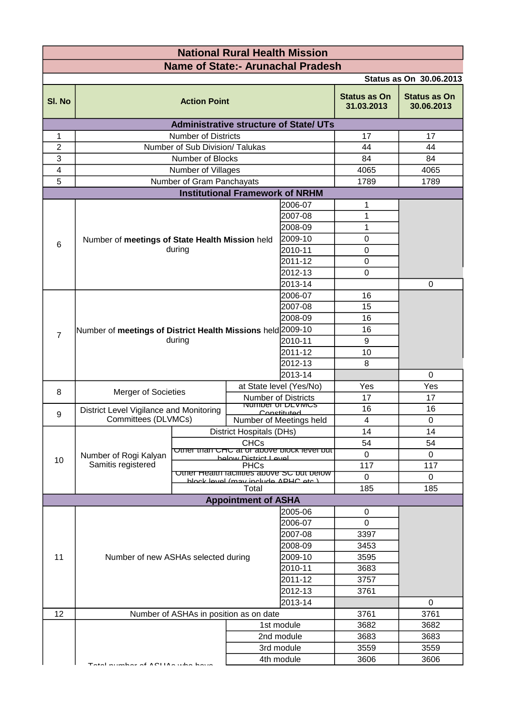| <b>National Rural Health Mission</b>     |                                                                                                                                                                        |                                                           |                                        |                                                         |                                   |             |
|------------------------------------------|------------------------------------------------------------------------------------------------------------------------------------------------------------------------|-----------------------------------------------------------|----------------------------------------|---------------------------------------------------------|-----------------------------------|-------------|
| <b>Name of State:- Arunachal Pradesh</b> |                                                                                                                                                                        |                                                           |                                        |                                                         |                                   |             |
| <b>Status as On 30.06.2013</b>           |                                                                                                                                                                        |                                                           |                                        |                                                         |                                   |             |
| SI. No                                   | <b>Action Point</b>                                                                                                                                                    |                                                           |                                        | <b>Status as On</b><br>31.03.2013                       | <b>Status as On</b><br>30.06.2013 |             |
|                                          |                                                                                                                                                                        |                                                           |                                        | <b>Administrative structure of State/ UTs</b>           |                                   |             |
| 1                                        |                                                                                                                                                                        | <b>Number of Districts</b>                                |                                        |                                                         | 17                                | 17          |
| $\overline{c}$                           |                                                                                                                                                                        | Number of Sub Division/ Talukas                           |                                        |                                                         | 44                                | 44          |
| 3                                        |                                                                                                                                                                        | Number of Blocks                                          |                                        |                                                         | 84                                | 84          |
| $\overline{\mathbf{4}}$                  |                                                                                                                                                                        | Number of Villages                                        |                                        |                                                         | 4065                              | 4065        |
| 5                                        |                                                                                                                                                                        | Number of Gram Panchayats                                 |                                        |                                                         | 1789                              | 1789        |
|                                          |                                                                                                                                                                        |                                                           | <b>Institutional Framework of NRHM</b> |                                                         |                                   |             |
|                                          | 2006-07<br>2007-08<br>2008-09                                                                                                                                          |                                                           |                                        | 1                                                       |                                   |             |
|                                          |                                                                                                                                                                        |                                                           |                                        |                                                         | 1                                 |             |
|                                          |                                                                                                                                                                        |                                                           |                                        |                                                         | 1                                 |             |
| 6                                        | Number of meetings of State Health Mission held                                                                                                                        |                                                           |                                        | 2009-10                                                 | $\mathbf 0$                       |             |
|                                          |                                                                                                                                                                        | during                                                    |                                        | 2010-11                                                 | $\mathbf 0$                       |             |
|                                          |                                                                                                                                                                        |                                                           |                                        | 2011-12                                                 | 0                                 |             |
|                                          |                                                                                                                                                                        |                                                           |                                        | 2012-13                                                 | 0                                 |             |
|                                          |                                                                                                                                                                        | 2013-14                                                   |                                        |                                                         |                                   | $\Omega$    |
|                                          | 2006-07                                                                                                                                                                |                                                           |                                        |                                                         | 16                                |             |
|                                          |                                                                                                                                                                        |                                                           |                                        | 2007-08                                                 | 15                                |             |
|                                          |                                                                                                                                                                        |                                                           |                                        | 2008-09                                                 | 16                                |             |
| $\overline{7}$                           | Number of meetings of District Health Missions held 2009-10                                                                                                            |                                                           |                                        |                                                         | 16                                |             |
|                                          |                                                                                                                                                                        | during                                                    |                                        | 2010-11                                                 | 9                                 |             |
|                                          |                                                                                                                                                                        |                                                           |                                        | 2011-12                                                 | 10                                |             |
|                                          |                                                                                                                                                                        |                                                           |                                        | 2012-13                                                 | 8                                 |             |
|                                          |                                                                                                                                                                        |                                                           |                                        | 2013-14                                                 |                                   | $\mathbf 0$ |
| 8                                        | Merger of Societies                                                                                                                                                    |                                                           |                                        | at State level (Yes/No)                                 | Yes                               | Yes         |
|                                          |                                                                                                                                                                        |                                                           |                                        | <b>Number of Districts</b><br><b>NUMBER OF DEVIVIUS</b> | 17                                | 17          |
| 9                                        | District Level Vigilance and Monitoring                                                                                                                                |                                                           |                                        | Conctitutod                                             | 16                                | 16          |
|                                          | Committees (DLVMCs)                                                                                                                                                    | Number of Meetings held                                   |                                        | $\overline{4}$                                          | $\mathbf 0$                       |             |
|                                          |                                                                                                                                                                        |                                                           | <b>District Hospitals (DHs)</b>        |                                                         | 14                                | 14          |
|                                          |                                                                                                                                                                        | <b>CHCs</b><br>Other than CHC at or above block level but |                                        | 54                                                      | 54                                |             |
| 10                                       | Number of Rogi Kalyan<br>halow Dietrict Laval<br>Samitis registered<br><b>PHCs</b><br>Other Health racinties above SC but below<br>hlock level (may include ADHC etc.) |                                                           |                                        |                                                         | 0                                 | $\Omega$    |
|                                          |                                                                                                                                                                        |                                                           |                                        |                                                         | 117                               | 117         |
|                                          |                                                                                                                                                                        |                                                           |                                        |                                                         | $\mathbf 0$                       | $\Omega$    |
|                                          |                                                                                                                                                                        |                                                           | Total                                  |                                                         | 185                               | 185         |
| <b>Appointment of ASHA</b>               |                                                                                                                                                                        |                                                           |                                        |                                                         |                                   |             |
|                                          | 2005-06<br>2006-07<br>2007-08<br>2008-09                                                                                                                               |                                                           |                                        |                                                         | 0                                 |             |
|                                          |                                                                                                                                                                        |                                                           |                                        |                                                         | $\mathbf 0$                       |             |
|                                          |                                                                                                                                                                        |                                                           |                                        |                                                         | 3397                              |             |
| 11                                       |                                                                                                                                                                        |                                                           |                                        |                                                         | 3453                              |             |
|                                          | 2009-10<br>Number of new ASHAs selected during<br>2010-11<br>2011-12<br>2012-13                                                                                        |                                                           |                                        |                                                         | 3595                              |             |
|                                          |                                                                                                                                                                        |                                                           |                                        | 3683                                                    |                                   |             |
|                                          |                                                                                                                                                                        |                                                           |                                        | 3757                                                    |                                   |             |
|                                          |                                                                                                                                                                        |                                                           |                                        | 3761                                                    |                                   |             |
| 12                                       | 2013-14<br>0<br>Number of ASHAs in position as on date                                                                                                                 |                                                           |                                        |                                                         |                                   | 3761        |
|                                          |                                                                                                                                                                        |                                                           |                                        | 1st module                                              | 3761<br>3682                      | 3682        |
|                                          |                                                                                                                                                                        |                                                           |                                        |                                                         |                                   | 3683        |
|                                          |                                                                                                                                                                        | 2nd module                                                |                                        | 3683<br>3559                                            | 3559                              |             |
|                                          |                                                                                                                                                                        | 3rd module<br>4th module                                  |                                        |                                                         | 3606                              | 3606        |
|                                          | متنمط المطلب المالكة الكمام والمستنما الم                                                                                                                              |                                                           |                                        |                                                         |                                   |             |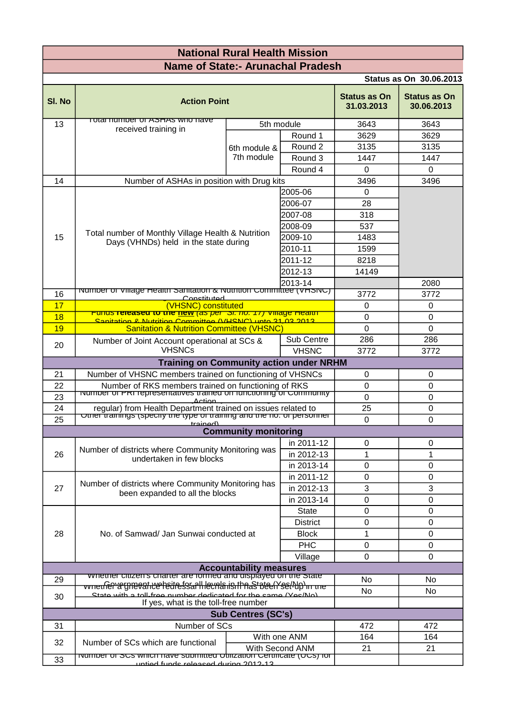| <b>National Rural Health Mission</b>                                               |                                                                                                       |                            |                 |                                   |                                   |  |
|------------------------------------------------------------------------------------|-------------------------------------------------------------------------------------------------------|----------------------------|-----------------|-----------------------------------|-----------------------------------|--|
| <b>Name of State:- Arunachal Pradesh</b>                                           |                                                                                                       |                            |                 |                                   |                                   |  |
|                                                                                    |                                                                                                       |                            |                 |                                   | <b>Status as On 30.06.2013</b>    |  |
| SI. No                                                                             | <b>Action Point</b>                                                                                   |                            |                 | <b>Status as On</b><br>31.03.2013 | <b>Status as On</b><br>30.06.2013 |  |
| 13                                                                                 | <u>TOTAL HUMDEL OF ASHAS WHO HAVE</u><br>received training in                                         |                            | 5th module      | 3643                              | 3643                              |  |
|                                                                                    |                                                                                                       | 6th module &<br>7th module | Round 1         | 3629                              | 3629                              |  |
|                                                                                    |                                                                                                       |                            | Round 2         | 3135                              | 3135                              |  |
|                                                                                    |                                                                                                       |                            | Round 3         | 1447<br>$\mathbf 0$               | 1447                              |  |
|                                                                                    |                                                                                                       | Round 4                    |                 |                                   | $\mathbf{0}$                      |  |
| 14                                                                                 | Number of ASHAs in position with Drug kits                                                            |                            |                 | 3496                              | 3496                              |  |
|                                                                                    |                                                                                                       |                            | 2005-06         | $\Omega$                          |                                   |  |
|                                                                                    |                                                                                                       |                            | 2006-07         | 28                                |                                   |  |
|                                                                                    |                                                                                                       |                            | 2007-08         | 318                               |                                   |  |
|                                                                                    | Total number of Monthly Village Health & Nutrition                                                    |                            | 2008-09         | 537                               |                                   |  |
| 15                                                                                 | Days (VHNDs) held in the state during                                                                 |                            | 2009-10         | 1483                              |                                   |  |
|                                                                                    |                                                                                                       |                            | 2010-11         | 1599                              |                                   |  |
|                                                                                    |                                                                                                       |                            | 2011-12         | 8218                              |                                   |  |
|                                                                                    |                                                                                                       |                            | 2012-13         | 14149                             |                                   |  |
|                                                                                    |                                                                                                       |                            | 2013-14         |                                   | 2080                              |  |
| 16                                                                                 | <u>  TNUTTIDET OF VIIIage Health Samtation &amp; Nutrition Committee (VHSNC)</u><br>Conctituted       |                            |                 | 3772                              | 3772                              |  |
| 17                                                                                 | (VHSNC) constituted                                                                                   |                            |                 | 0                                 | 0                                 |  |
| 18                                                                                 | Conitation 8 Nutrition Committoo (VUSNC) unto 21 02 2012                                              |                            |                 | 0                                 | $\Omega$                          |  |
| 19                                                                                 | <b>Sanitation &amp; Nutrition Committee (VHSNC)</b>                                                   |                            |                 | $\mathbf 0$                       | $\mathbf 0$                       |  |
|                                                                                    | Number of Joint Account operational at SCs &                                                          |                            | Sub Centre      | 286                               | 286                               |  |
| 20                                                                                 | <b>VHSNCs</b>                                                                                         |                            | <b>VHSNC</b>    | 3772                              | 3772                              |  |
|                                                                                    | <b>Training on Community action under NRHM</b>                                                        |                            |                 |                                   |                                   |  |
| Number of VHSNC members trained on functioning of VHSNCs<br>21<br>$\mathbf 0$<br>0 |                                                                                                       |                            |                 |                                   |                                   |  |
| 22                                                                                 | Number of RKS members trained on functioning of RKS                                                   |                            |                 | 0                                 | 0                                 |  |
| 23                                                                                 | Number of PRT representatives trained on functioning of Community<br><b>Action</b>                    |                            |                 | $\mathbf 0$                       | $\mathsf 0$                       |  |
| 24                                                                                 | regular) from Health Department trained on issues related to                                          |                            |                 | 25                                | 0                                 |  |
| 25                                                                                 | Other trainings (specify the type or training and the no. of personner                                |                            |                 | 0                                 | $\mathbf{0}$                      |  |
| <u>للممسمعين</u><br><b>Community monitoring</b>                                    |                                                                                                       |                            |                 |                                   |                                   |  |
|                                                                                    |                                                                                                       |                            | in 2011-12      | 0                                 | 0                                 |  |
| 26                                                                                 | Number of districts where Community Monitoring was                                                    |                            | in 2012-13      | 1                                 | 1                                 |  |
|                                                                                    | undertaken in few blocks                                                                              |                            | in 2013-14      | 0                                 | $\mathbf{0}$                      |  |
|                                                                                    |                                                                                                       |                            | in 2011-12      | 0                                 | $\mathbf{0}$                      |  |
| 27                                                                                 | Number of districts where Community Monitoring has<br>been expanded to all the blocks                 |                            | in 2012-13      | 3                                 | 3                                 |  |
|                                                                                    |                                                                                                       |                            | in 2013-14      | 0                                 | 0                                 |  |
|                                                                                    |                                                                                                       | <b>State</b>               | 0               | 0                                 |                                   |  |
|                                                                                    |                                                                                                       |                            | <b>District</b> | 0                                 | 0                                 |  |
| 28                                                                                 | No. of Samwad/ Jan Sunwai conducted at                                                                |                            | <b>Block</b>    | 1                                 | 0                                 |  |
|                                                                                    |                                                                                                       |                            | <b>PHC</b>      | $\mathbf 0$                       | $\mathbf{0}$                      |  |
|                                                                                    |                                                                                                       | Village                    | 0               | $\mathbf{0}$                      |                                   |  |
|                                                                                    |                                                                                                       |                            |                 |                                   |                                   |  |
| 29                                                                                 | <b>Accountability measures</b><br>vvnemer cluzen s chaner are formed and displayed on the state       |                            |                 | No                                | No                                |  |
|                                                                                    | vvneufer a gneoative hedre ssartlilevnariisith nast ote (Yse (Ab) in me                               |                            |                 | No                                | N <sub>0</sub>                    |  |
| 30                                                                                 | Ctate with a toll-free number dedicated for the came (Vec/No)<br>If yes, what is the toll-free number |                            |                 |                                   |                                   |  |
| <b>Sub Centres (SC's)</b>                                                          |                                                                                                       |                            |                 |                                   |                                   |  |
| 31                                                                                 | Number of SCs                                                                                         |                            |                 |                                   | 472                               |  |
|                                                                                    |                                                                                                       |                            | With one ANM    | 472<br>164                        | 164                               |  |
| 32                                                                                 | Number of SCs which are functional                                                                    |                            | With Second ANM | 21                                | 21                                |  |
| 33                                                                                 | <u>number or SCS which have submitted Othization Certificate (OCS) for</u>                            |                            |                 |                                   |                                   |  |
|                                                                                    | untiad funde ralasead during 2012.12                                                                  |                            |                 |                                   |                                   |  |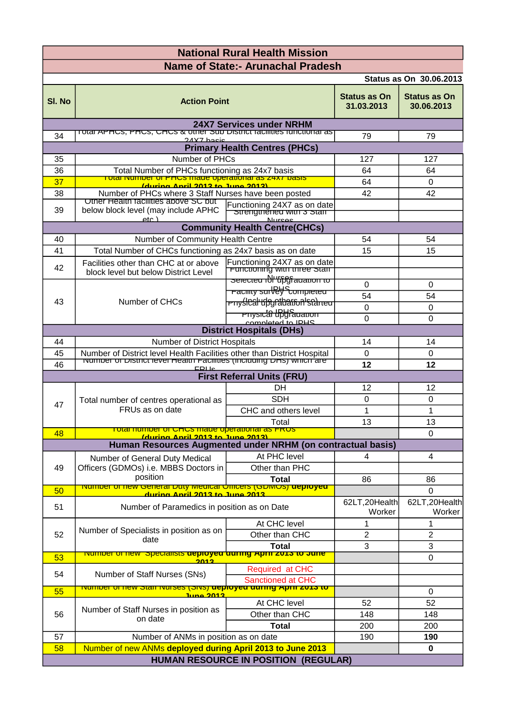| <b>National Rural Health Mission</b>                                                                                        |                                                                                                       |                                                      |                                   |                                   |  |  |
|-----------------------------------------------------------------------------------------------------------------------------|-------------------------------------------------------------------------------------------------------|------------------------------------------------------|-----------------------------------|-----------------------------------|--|--|
| <b>Name of State:- Arunachal Pradesh</b>                                                                                    |                                                                                                       |                                                      |                                   |                                   |  |  |
|                                                                                                                             |                                                                                                       |                                                      |                                   | <b>Status as On 30.06.2013</b>    |  |  |
| SI. No                                                                                                                      | <b>Action Point</b>                                                                                   |                                                      | <b>Status as On</b><br>31.03.2013 | <b>Status as On</b><br>30.06.2013 |  |  |
|                                                                                                                             | Total APHCS, PHCS, CHCS & Other Sub District factifities functional as                                | <b>24X7 Services under NRHM</b>                      |                                   |                                   |  |  |
| 34                                                                                                                          | 24Y7 hacic                                                                                            |                                                      | 79                                | 79                                |  |  |
|                                                                                                                             |                                                                                                       | <b>Primary Health Centres (PHCs)</b>                 |                                   |                                   |  |  |
| 35                                                                                                                          | Number of PHCs                                                                                        | 127                                                  | 127                               |                                   |  |  |
| 36                                                                                                                          | Total Number of PHCs functioning as 24x7 basis<br>Total Number of PHCs made operational as 24x7 basis |                                                      | 64                                | 64                                |  |  |
| 37                                                                                                                          | (during April 2013 to June 2013)                                                                      |                                                      | 64                                | 0                                 |  |  |
| 38                                                                                                                          | Number of PHCs where 3 Staff Nurses have been posted<br>Other Health facilities above SC but          |                                                      | 42                                | 42                                |  |  |
| 39                                                                                                                          | below block level (may include APHC<br>etc.                                                           | Functioning 24X7 as on date<br><b>Nurcac</b>         |                                   |                                   |  |  |
|                                                                                                                             |                                                                                                       | <b>Community Health Centre(CHCs)</b>                 |                                   |                                   |  |  |
| 40                                                                                                                          | Number of Community Health Centre                                                                     | 54                                                   | 54                                |                                   |  |  |
| 41                                                                                                                          | Total Number of CHCs functioning as 24x7 basis as on date                                             |                                                      | 15                                | 15                                |  |  |
| 42                                                                                                                          | Facilities other than CHC at or above<br>block level but below District Level                         | Functioning 24X7 as on date                          |                                   |                                   |  |  |
|                                                                                                                             |                                                                                                       | selected ibl "tipgi adation to                       | $\Omega$                          | 0                                 |  |  |
|                                                                                                                             |                                                                                                       | <b>Facility surfeld</b> Completed                    | 54                                | 54                                |  |  |
| 43                                                                                                                          | Number of CHCs                                                                                        | <del>rnyślCal'upgrabation<sup>i</sup>stàneu</del>    | $\Omega$                          | $\Omega$                          |  |  |
|                                                                                                                             |                                                                                                       | <del>rnysicta Upyfauation</del><br>completed to IDHS | 0                                 | $\Omega$                          |  |  |
|                                                                                                                             |                                                                                                       | <b>District Hospitals (DHs)</b>                      |                                   |                                   |  |  |
| 44                                                                                                                          | Number of District Hospitals                                                                          |                                                      | 14                                | 14                                |  |  |
| 45                                                                                                                          | Number of District level Health Facilities other than District Hospital                               |                                                      | $\Omega$                          | $\mathbf{0}$                      |  |  |
| 46                                                                                                                          | in the product of District level Health Facilities (including DHs) which are<br>$E$ Dile              |                                                      | 12                                | 12                                |  |  |
|                                                                                                                             | <b>First Referral Units (FRU)</b>                                                                     |                                                      |                                   |                                   |  |  |
|                                                                                                                             | Total number of centres operational as                                                                | DН                                                   | 12                                | 12                                |  |  |
| 47                                                                                                                          |                                                                                                       | <b>SDH</b>                                           | $\Omega$                          | 0                                 |  |  |
|                                                                                                                             | FRUs as on date                                                                                       | CHC and others level                                 | $\mathbf{1}$                      | $\mathbf{1}$                      |  |  |
|                                                                                                                             | Total<br><u>Tutai number of UHUS made operational as ERUS</u>                                         |                                                      | 13                                | 13                                |  |  |
| 48<br>$\mathbf 0$<br><u>Iduring Anril 2013 to June 2013)</u><br>Human Resources Augmented under NRHM (on contractual basis) |                                                                                                       |                                                      |                                   |                                   |  |  |
|                                                                                                                             |                                                                                                       |                                                      |                                   |                                   |  |  |
|                                                                                                                             | Number of General Duty Medical<br>Officers (GDMOs) i.e. MBBS Doctors in<br>position                   | At PHC level                                         | 4                                 | 4                                 |  |  |
| 49                                                                                                                          |                                                                                                       | Other than PHC                                       |                                   |                                   |  |  |
|                                                                                                                             | <u>number of new General Duty Medical Unicers (GDMUS) deproyed</u>                                    | <b>Total</b>                                         | 86                                | 86                                |  |  |
| 50                                                                                                                          | <u> 2012 Anril 2013 to June 2013</u>                                                                  | 62LT, 20Health                                       | 0<br>62LT, 20Health               |                                   |  |  |
| 51                                                                                                                          | Number of Paramedics in position as on Date                                                           |                                                      | Worker                            | Worker                            |  |  |
|                                                                                                                             | Number of Specialists in position as on                                                               | At CHC level                                         | 1                                 | $\mathbf{1}$                      |  |  |
| 52                                                                                                                          | date                                                                                                  | Other than CHC                                       | $\overline{c}$                    | $\overline{c}$                    |  |  |
|                                                                                                                             | <b>Number of new Specialists deproyed auring April 2013 to June</b>                                   | <b>Total</b>                                         | 3                                 | 3                                 |  |  |
| 53                                                                                                                          | 2012                                                                                                  |                                                      |                                   | 0                                 |  |  |
| 54                                                                                                                          | Number of Staff Nurses (SNs)                                                                          | Required at CHC<br><b>Sanctioned at CHC</b>          |                                   |                                   |  |  |
| 55                                                                                                                          | <u>o דווסו דווסאר number or new Starr nurses (SNS) aephoyed during April zuls to</u>                  |                                                      |                                   | 0                                 |  |  |
|                                                                                                                             | <u>June 2012</u>                                                                                      | At CHC level                                         | 52                                | 52                                |  |  |
| 56                                                                                                                          | Number of Staff Nurses in position as                                                                 | Other than CHC                                       | 148                               | 148                               |  |  |
|                                                                                                                             | on date                                                                                               | <b>Total</b>                                         | 200                               | 200                               |  |  |
| 57                                                                                                                          | Number of ANMs in position as on date                                                                 |                                                      | 190                               | 190                               |  |  |
| 58                                                                                                                          | Number of new ANMs deployed during April 2013 to June 2013                                            |                                                      |                                   | 0                                 |  |  |
| <b>HUMAN RESOURCE IN POSITION (REGULAR)</b>                                                                                 |                                                                                                       |                                                      |                                   |                                   |  |  |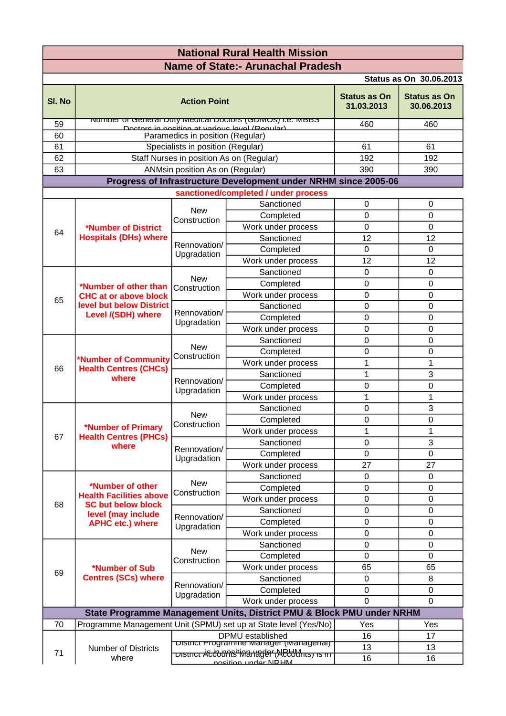| <b>National Rural Health Mission</b>                                  |                                                                                                                                  |                                          |                                                                                                                        |                                   |                                   |  |
|-----------------------------------------------------------------------|----------------------------------------------------------------------------------------------------------------------------------|------------------------------------------|------------------------------------------------------------------------------------------------------------------------|-----------------------------------|-----------------------------------|--|
| <b>Name of State:- Arunachal Pradesh</b>                              |                                                                                                                                  |                                          |                                                                                                                        |                                   |                                   |  |
|                                                                       |                                                                                                                                  |                                          |                                                                                                                        |                                   | <b>Status as On 30.06.2013</b>    |  |
| SI. No                                                                |                                                                                                                                  | <b>Action Point</b>                      |                                                                                                                        | <b>Status as On</b><br>31.03.2013 | <b>Status as On</b><br>30.06.2013 |  |
| 59                                                                    |                                                                                                                                  |                                          | <u> Re. Manush of General Duty Medical Doctors (GDMOS) i.e. MBBS</u><br>Doctors in nosition at various level (Peqular) | 460                               | 460                               |  |
| 60                                                                    |                                                                                                                                  | Paramedics in position (Regular)         |                                                                                                                        |                                   |                                   |  |
| 61                                                                    |                                                                                                                                  | Specialists in position (Regular)        |                                                                                                                        | 61                                | 61                                |  |
| 62                                                                    |                                                                                                                                  | Staff Nurses in position As on (Regular) |                                                                                                                        | 192                               | 192                               |  |
| 63                                                                    |                                                                                                                                  | ANMsin position As on (Regular)          |                                                                                                                        | 390                               | 390                               |  |
|                                                                       |                                                                                                                                  |                                          | Progress of Infrastructure Development under NRHM since 2005-06                                                        |                                   |                                   |  |
|                                                                       |                                                                                                                                  |                                          | sanctioned/completed / under process                                                                                   |                                   |                                   |  |
|                                                                       |                                                                                                                                  | <b>New</b><br>Construction               | Sanctioned                                                                                                             | 0                                 | 0                                 |  |
|                                                                       |                                                                                                                                  |                                          | Completed                                                                                                              | $\mathbf 0$                       | $\mathbf 0$                       |  |
| 64                                                                    | *Number of District                                                                                                              |                                          | Work under process                                                                                                     | $\mathbf 0$                       | $\mathbf 0$                       |  |
|                                                                       | <b>Hospitals (DHs) where</b>                                                                                                     | Rennovation/                             | Sanctioned                                                                                                             | 12                                | 12                                |  |
|                                                                       |                                                                                                                                  | Upgradation                              | Completed                                                                                                              | $\mathbf 0$                       | 0                                 |  |
|                                                                       |                                                                                                                                  |                                          | Work under process                                                                                                     | 12                                | 12                                |  |
|                                                                       |                                                                                                                                  | <b>New</b>                               | Sanctioned                                                                                                             | $\mathbf 0$                       | $\mathbf 0$                       |  |
|                                                                       | *Number of other than                                                                                                            | Construction                             | Completed                                                                                                              | $\mathbf 0$                       | $\mathbf 0$                       |  |
| 65                                                                    | <b>CHC at or above block</b>                                                                                                     |                                          | Work under process                                                                                                     | $\mathbf 0$                       | 0                                 |  |
|                                                                       | level but below District<br>Level /(SDH) where                                                                                   | Rennovation/                             | Sanctioned                                                                                                             | 0                                 | 0                                 |  |
|                                                                       |                                                                                                                                  | Upgradation                              | Completed                                                                                                              | $\mathbf 0$                       | $\mathbf 0$                       |  |
|                                                                       |                                                                                                                                  |                                          | Work under process                                                                                                     | 0                                 | 0                                 |  |
|                                                                       |                                                                                                                                  | <b>New</b>                               | Sanctioned                                                                                                             | $\mathbf 0$                       | $\mathbf 0$                       |  |
|                                                                       | *Number of Community                                                                                                             | Construction                             | Completed                                                                                                              | 0                                 | 0                                 |  |
| 66                                                                    | <b>Health Centres (CHCs)</b>                                                                                                     |                                          | Work under process                                                                                                     | 1                                 | 1                                 |  |
|                                                                       | where                                                                                                                            | Rennovation/<br>Upgradation              | Sanctioned                                                                                                             | $\overline{1}$                    | 3                                 |  |
|                                                                       |                                                                                                                                  |                                          | Completed                                                                                                              | $\mathbf 0$                       | $\mathbf 0$                       |  |
|                                                                       |                                                                                                                                  |                                          | Work under process                                                                                                     | $\mathbf{1}$                      | $\mathbf{1}$                      |  |
|                                                                       | *Number of Primary<br><b>Health Centres (PHCs)</b><br>where                                                                      | <b>New</b><br>Construction               | Sanctioned                                                                                                             | 0<br>$\mathbf 0$                  | 3<br>$\mathbf 0$                  |  |
|                                                                       |                                                                                                                                  |                                          | Completed<br>Work under process                                                                                        | $\mathbf{1}$                      | 1                                 |  |
| 67                                                                    |                                                                                                                                  |                                          | Sanctioned                                                                                                             | $\overline{0}$                    | 3                                 |  |
|                                                                       |                                                                                                                                  | Rennovation/<br>Upgradation              | Completed                                                                                                              | $\mathbf 0$                       | $\mathbf 0$                       |  |
|                                                                       |                                                                                                                                  |                                          | Work under process                                                                                                     | 27                                | 27                                |  |
|                                                                       |                                                                                                                                  |                                          | Sanctioned                                                                                                             | 0                                 | 0                                 |  |
|                                                                       | *Number of other<br><b>Health Facilities above</b><br><b>SC but below block</b><br>level (may include<br><b>APHC etc.) where</b> | <b>New</b><br>Construction               | Completed                                                                                                              | $\mathbf 0$                       | $\mathbf 0$                       |  |
|                                                                       |                                                                                                                                  |                                          | Work under process                                                                                                     | $\mathbf 0$                       | $\mathsf 0$                       |  |
| 68                                                                    |                                                                                                                                  | Rennovation/<br>Upgradation              | Sanctioned                                                                                                             | 0                                 | $\pmb{0}$                         |  |
|                                                                       |                                                                                                                                  |                                          | Completed                                                                                                              | $\mathbf 0$                       | $\mathbf 0$                       |  |
|                                                                       |                                                                                                                                  |                                          | Work under process                                                                                                     | $\mathbf 0$                       | 0                                 |  |
|                                                                       |                                                                                                                                  |                                          | Sanctioned                                                                                                             | $\mathbf 0$                       | $\mathsf 0$                       |  |
| 69                                                                    | *Number of Sub<br><b>Centres (SCs) where</b>                                                                                     | <b>New</b><br>Construction               | Completed                                                                                                              | 0                                 | 0                                 |  |
|                                                                       |                                                                                                                                  |                                          | Work under process                                                                                                     | 65                                | 65                                |  |
|                                                                       |                                                                                                                                  | Rennovation/                             | Sanctioned                                                                                                             | $\Omega$                          | 8                                 |  |
|                                                                       |                                                                                                                                  |                                          | Completed                                                                                                              | $\mathbf 0$                       | 0                                 |  |
|                                                                       |                                                                                                                                  | Upgradation                              | Work under process                                                                                                     | $\mathbf 0$                       | $\mathbf 0$                       |  |
| State Programme Management Units, District PMU & Block PMU under NRHM |                                                                                                                                  |                                          |                                                                                                                        |                                   |                                   |  |
| 70                                                                    |                                                                                                                                  |                                          | Programme Management Unit (SPMU) set up at State level (Yes/No)                                                        | Yes                               | Yes                               |  |
|                                                                       |                                                                                                                                  | DPMU established                         |                                                                                                                        | 16                                | 17                                |  |
|                                                                       | <b>Number of Districts</b>                                                                                                       |                                          | <b>DIStrict Programme Manager (Managenar)</b>                                                                          |                                   | 13                                |  |
| 71                                                                    | where                                                                                                                            |                                          | <del>רוד פו השפט AC Codne italy in Series ומוסט AS ומופוס</del><br>nosition under NDHM                                 | 13<br>16                          | 16                                |  |
|                                                                       |                                                                                                                                  |                                          |                                                                                                                        |                                   |                                   |  |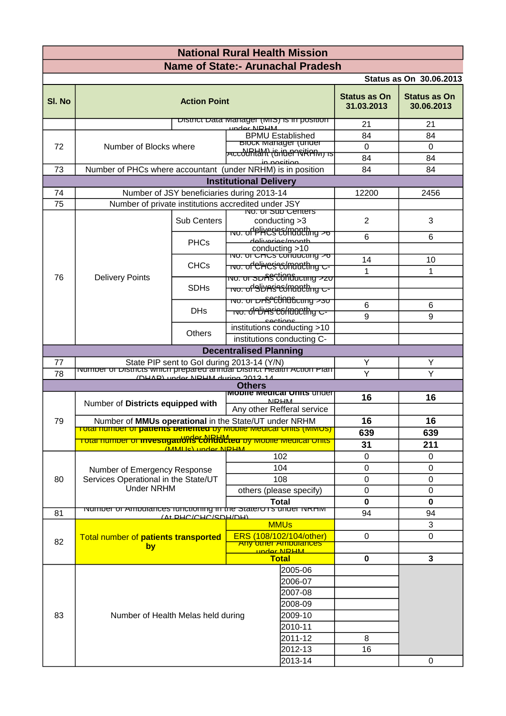| <b>Name of State:- Arunachal Pradesh</b><br><b>Status as On 30.06.2013</b><br><b>Status as On</b><br>SI. No<br><b>Action Point</b><br>31.03.2013<br><u>DISTITUT Data Manager (MIS) IS IN position</u><br>21<br>under NDHM<br><b>BPMU Established</b><br>84<br><u>BIOCK Manager (under</u><br>$\mathbf 0$<br>72<br>Number of Blocks where<br><del>Accountant (trinen sitien or is</del><br>84<br>in nocition<br>73<br>Number of PHCs where accountant (under NRHM) is in position<br>84 | <b>Status as On</b><br>30.06.2013 |  |  |  |
|----------------------------------------------------------------------------------------------------------------------------------------------------------------------------------------------------------------------------------------------------------------------------------------------------------------------------------------------------------------------------------------------------------------------------------------------------------------------------------------|-----------------------------------|--|--|--|
|                                                                                                                                                                                                                                                                                                                                                                                                                                                                                        |                                   |  |  |  |
|                                                                                                                                                                                                                                                                                                                                                                                                                                                                                        |                                   |  |  |  |
|                                                                                                                                                                                                                                                                                                                                                                                                                                                                                        |                                   |  |  |  |
|                                                                                                                                                                                                                                                                                                                                                                                                                                                                                        | 21                                |  |  |  |
|                                                                                                                                                                                                                                                                                                                                                                                                                                                                                        | 84                                |  |  |  |
|                                                                                                                                                                                                                                                                                                                                                                                                                                                                                        | $\mathbf{0}$                      |  |  |  |
|                                                                                                                                                                                                                                                                                                                                                                                                                                                                                        | 84                                |  |  |  |
| <b>Institutional Delivery</b>                                                                                                                                                                                                                                                                                                                                                                                                                                                          | 84                                |  |  |  |
| Number of JSY beneficiaries during 2013-14<br>74<br>12200                                                                                                                                                                                                                                                                                                                                                                                                                              | 2456                              |  |  |  |
| 75<br>Number of private institutions accredited under JSY                                                                                                                                                                                                                                                                                                                                                                                                                              |                                   |  |  |  |
| NO. OF SUD Centers                                                                                                                                                                                                                                                                                                                                                                                                                                                                     |                                   |  |  |  |
| <b>Sub Centers</b><br>2<br>conducting $>3$                                                                                                                                                                                                                                                                                                                                                                                                                                             | 3                                 |  |  |  |
| <del>no. of PliYCS Commuthing &gt;o</del><br>6<br>daliyarias/manth                                                                                                                                                                                                                                                                                                                                                                                                                     | 6                                 |  |  |  |
| <b>PHCs</b><br>conducting >10                                                                                                                                                                                                                                                                                                                                                                                                                                                          |                                   |  |  |  |
| <u>NO. OF CHCS CONQUCIING 20</u><br>14                                                                                                                                                                                                                                                                                                                                                                                                                                                 | 10                                |  |  |  |
| <del>wo. of Chese Commething c-</del><br><b>CHCs</b><br>1                                                                                                                                                                                                                                                                                                                                                                                                                              | 1                                 |  |  |  |
| <del>ושס. סדאס SDAS C<sup>i</sup>ond מסד</del><br>76<br><b>Delivery Points</b><br><del>ושס. ס<b>ו'S</b>DA's Commuthing כ</del><br><b>SDHs</b>                                                                                                                                                                                                                                                                                                                                          |                                   |  |  |  |
|                                                                                                                                                                                                                                                                                                                                                                                                                                                                                        |                                   |  |  |  |
| <del>ואס. Two: סוראלוס איז דער ה</del><br>6<br><del>no.  ਰੀਈਮ⁄is'eံ8/maethy ਦ-</del><br><b>DHs</b>                                                                                                                                                                                                                                                                                                                                                                                     | 6                                 |  |  |  |
| 9<br>coctions                                                                                                                                                                                                                                                                                                                                                                                                                                                                          | 9                                 |  |  |  |
| institutions conducting >10<br>Others                                                                                                                                                                                                                                                                                                                                                                                                                                                  |                                   |  |  |  |
| institutions conducting C-                                                                                                                                                                                                                                                                                                                                                                                                                                                             |                                   |  |  |  |
| <b>Decentralised Planning</b>                                                                                                                                                                                                                                                                                                                                                                                                                                                          |                                   |  |  |  |
| Υ<br>77<br>State PIP sent to Gol during 2013-14 (Y/N)<br><u>number or bistricts which prepared annual bistrict Health Action Plan</u>                                                                                                                                                                                                                                                                                                                                                  | Υ                                 |  |  |  |
| Y<br>78<br>Y<br>(DHAD) under NDHM during 2012-14                                                                                                                                                                                                                                                                                                                                                                                                                                       |                                   |  |  |  |
| <b>Others</b><br>imodile medical Units under                                                                                                                                                                                                                                                                                                                                                                                                                                           |                                   |  |  |  |
| 16<br><b>NIRHM</b><br>Number of Districts equipped with<br>Any other Refferal service                                                                                                                                                                                                                                                                                                                                                                                                  | 16                                |  |  |  |
| 16<br>79<br>Number of MMUs operational in the State/UT under NRHM                                                                                                                                                                                                                                                                                                                                                                                                                      | 16                                |  |  |  |
| <u>Total number of <b>patients benefited</b> by Mobile Medical Units (MIMUS).</u><br>639                                                                                                                                                                                                                                                                                                                                                                                               | 639                               |  |  |  |
| Total number of <b>investigations collected</b> by mobile medical onlist<br>31                                                                                                                                                                                                                                                                                                                                                                                                         | 211                               |  |  |  |
| (MMI Ic) under NDHM<br>102<br>$\Omega$                                                                                                                                                                                                                                                                                                                                                                                                                                                 | 0                                 |  |  |  |
| 104<br>0                                                                                                                                                                                                                                                                                                                                                                                                                                                                               | 0                                 |  |  |  |
| Number of Emergency Response<br>$\mathbf 0$<br>108<br>80<br>Services Operational in the State/UT                                                                                                                                                                                                                                                                                                                                                                                       | $\mathsf 0$                       |  |  |  |
| <b>Under NRHM</b><br>others (please specify)<br>0                                                                                                                                                                                                                                                                                                                                                                                                                                      | $\pmb{0}$                         |  |  |  |
| <b>Total</b><br>0                                                                                                                                                                                                                                                                                                                                                                                                                                                                      | $\mathbf 0$                       |  |  |  |
| indimider or Amburances runctioning in the State/OTS under INRHIM<br>81<br>94<br>(At DHC/CHC/SDH/DH)                                                                                                                                                                                                                                                                                                                                                                                   | 94                                |  |  |  |
| <b>MMUs</b>                                                                                                                                                                                                                                                                                                                                                                                                                                                                            | 3                                 |  |  |  |
| ERS (108/102/104/other)<br>0<br>Total number of patients transported<br>82                                                                                                                                                                                                                                                                                                                                                                                                             | 0                                 |  |  |  |
| <b>Any other Ampulances</b><br>by<br>under NDHM                                                                                                                                                                                                                                                                                                                                                                                                                                        |                                   |  |  |  |
| <b>Total</b><br>0                                                                                                                                                                                                                                                                                                                                                                                                                                                                      | $\mathbf{3}$                      |  |  |  |
| 2005-06                                                                                                                                                                                                                                                                                                                                                                                                                                                                                |                                   |  |  |  |
| 2006-07                                                                                                                                                                                                                                                                                                                                                                                                                                                                                |                                   |  |  |  |
| 2007-08                                                                                                                                                                                                                                                                                                                                                                                                                                                                                |                                   |  |  |  |
| 2008-09                                                                                                                                                                                                                                                                                                                                                                                                                                                                                |                                   |  |  |  |
| 83<br>Number of Health Melas held during<br>2009-10                                                                                                                                                                                                                                                                                                                                                                                                                                    |                                   |  |  |  |
| 2010-11                                                                                                                                                                                                                                                                                                                                                                                                                                                                                |                                   |  |  |  |
| 2011-12<br>8                                                                                                                                                                                                                                                                                                                                                                                                                                                                           |                                   |  |  |  |
| 2012-13<br>16                                                                                                                                                                                                                                                                                                                                                                                                                                                                          |                                   |  |  |  |